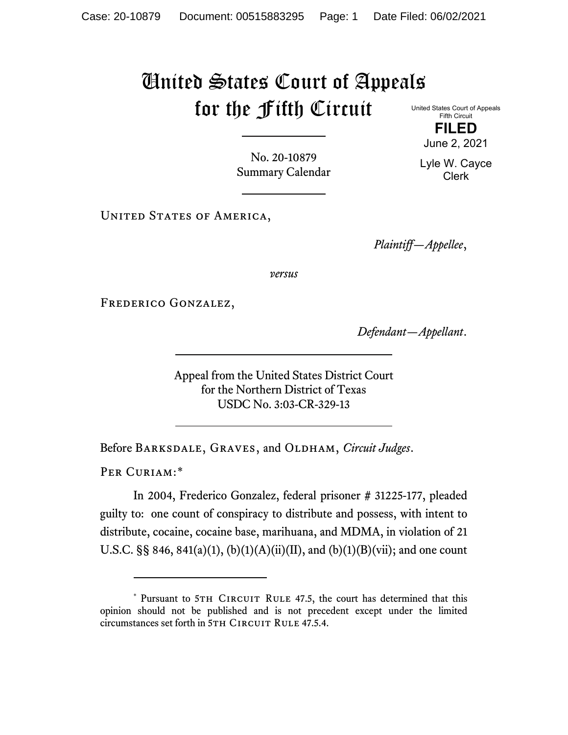## United States Court of Appeals for the Fifth Circuit

United States Court of Appeals Fifth Circuit

**FILED** June 2, 2021

Lyle W. Cayce Clerk

No. 20-10879 Summary Calendar

UNITED STATES OF AMERICA,

*Plaintiff—Appellee*,

*versus*

Frederico Gonzalez,

*Defendant—Appellant*.

Appeal from the United States District Court for the Northern District of Texas USDC No. 3:03-CR-329-13

Before Barksdale, Graves, and Oldham, *Circuit Judges*.

PER CURIAM:[\\*](#page-0-0)

In 2004, Frederico Gonzalez, federal prisoner # 31225-177, pleaded guilty to: one count of conspiracy to distribute and possess, with intent to distribute, cocaine, cocaine base, marihuana, and MDMA, in violation of 21 U.S.C. §§ 846, 841(a)(1), (b)(1)(A)(ii)(II), and (b)(1)(B)(vii); and one count

<span id="page-0-0"></span><sup>\*</sup> Pursuant to 5TH CIRCUIT RULE 47.5, the court has determined that this opinion should not be published and is not precedent except under the limited circumstances set forth in 5TH CIRCUIT RULE 47.5.4.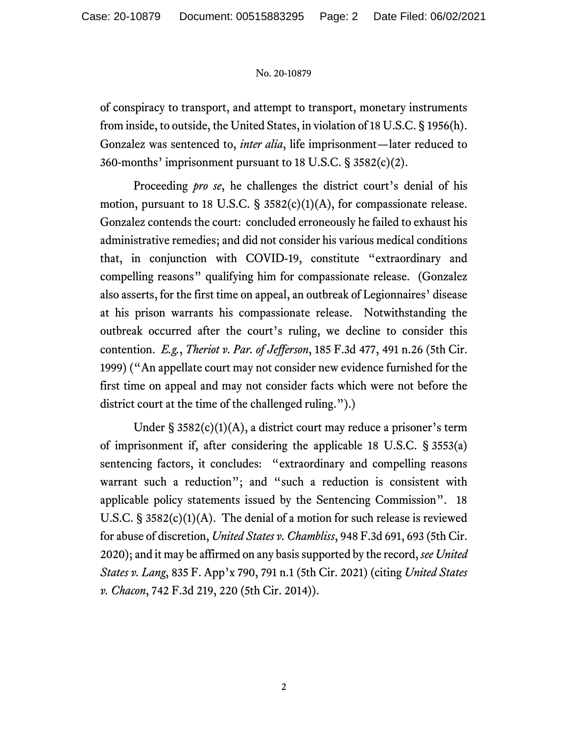## No. 20-10879

of conspiracy to transport, and attempt to transport, monetary instruments from inside, to outside, the United States, in violation of 18 U.S.C. § 1956(h). Gonzalez was sentenced to, *inter alia*, life imprisonment—later reduced to 360-months' imprisonment pursuant to 18 U.S.C. § 3582(c)(2).

Proceeding *pro se*, he challenges the district court's denial of his motion, pursuant to 18 U.S.C.  $\S$  3582(c)(1)(A), for compassionate release. Gonzalez contends the court: concluded erroneously he failed to exhaust his administrative remedies; and did not consider his various medical conditions that, in conjunction with COVID-19, constitute "extraordinary and compelling reasons" qualifying him for compassionate release. (Gonzalez also asserts, for the first time on appeal, an outbreak of Legionnaires' disease at his prison warrants his compassionate release. Notwithstanding the outbreak occurred after the court's ruling, we decline to consider this contention. *E.g.*, *Theriot v. Par. of Jefferson*, 185 F.3d 477, 491 n.26 (5th Cir. 1999) ("An appellate court may not consider new evidence furnished for the first time on appeal and may not consider facts which were not before the district court at the time of the challenged ruling.").)

Under  $\S 3582(c)(1)(A)$ , a district court may reduce a prisoner's term of imprisonment if, after considering the applicable 18 U.S.C. § 3553(a) sentencing factors, it concludes: "extraordinary and compelling reasons warrant such a reduction"; and "such a reduction is consistent with applicable policy statements issued by the Sentencing Commission". 18 U.S.C. § 3582(c)(1)(A). The denial of a motion for such release is reviewed for abuse of discretion, *United States v. Chambliss*, 948 F.3d 691, 693 (5th Cir. 2020); and it may be affirmed on any basis supported by the record, *see United States v. Lang*, 835 F. App'x 790, 791 n.1 (5th Cir. 2021) (citing *United States v. Chacon*, 742 F.3d 219, 220 (5th Cir. 2014)).